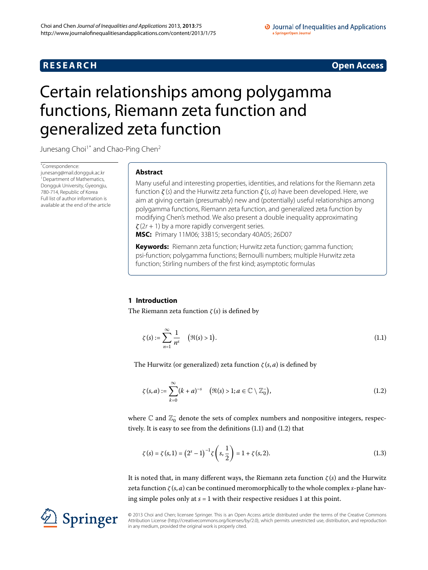## **R E S E A R C H Open Access**

#### O Journal of Inequalities and Applications a SpringerOpen Journal

# <span id="page-0-0"></span>Certain relationships among polygamma functions, Riemann zeta function and generalized zeta function

Junesang Choi<sup>1[\\*](#page-0-0)</sup> and Chao-Ping Chen<sup>2</sup>

\* Correspondence: [junesang@mail.dongguk.ac.kr](mailto:junesang@mail.dongguk.ac.kr) <sup>1</sup> Department of Mathematics, Dongguk University, Gyeongju, 780-714, Republic of Korea Full list of author information is available at the end of the article

## **Abstract**

Many useful and interesting properties, identities, and relations for the Riemann zeta function *ζ* (s) and the Hurwitz zeta function *ζ* (s, a) have been developed. Here, we aim at giving certain (presumably) new and (potentially) useful relationships among polygamma functions, Riemann zeta function, and generalized zeta function by modifying Chen's method. We also present a double inequality approximating *ζ* (2r + 1) by a more rapidly convergent series.

**MSC:** Primary 11M06; 33B15; secondary 40A05; 26D07

**Keywords:** Riemann zeta function; Hurwitz zeta function; gamma function; psi-function; polygamma functions; Bernoulli numbers; multiple Hurwitz zeta function; Stirling numbers of the first kind; asymptotic formulas

## **1 Introduction**

The Riemann zeta function *ζ* (*s*) is defined by

<span id="page-0-2"></span><span id="page-0-1"></span>
$$
\zeta(s) := \sum_{n=1}^{\infty} \frac{1}{n^s} \quad (\Re(s) > 1).
$$
 (1.1)

The Hurwitz (or generalized) zeta function *ζ* (*s*, *a*) is defined by

<span id="page-0-3"></span>
$$
\zeta(s,a) := \sum_{k=0}^{\infty} (k+a)^{-s} \quad \left( \Re(s) > 1; a \in \mathbb{C} \setminus \mathbb{Z}_0^-\right),\tag{1.2}
$$

where  $\mathbb C$  and  $\mathbb Z^-_0$  denote the sets of complex numbers and nonpositive integers, respec-tively[.](#page-0-2) It is easy to see from the definitions  $(1.1)$  and  $(1.2)$  that

$$
\zeta(s) = \zeta(s, 1) = (2^s - 1)^{-1} \zeta\left(s, \frac{1}{2}\right) = 1 + \zeta(s, 2). \tag{1.3}
$$

It is noted that, in many different ways, the Riemann zeta function *ζ* (*s*) and the Hurwitz zeta function *ζ* (*s*, *a*) can be continued meromorphically to the whole complex *s*-plane having simple poles only at  $s = 1$  with their respective residues 1 at this point.

© 2013 Choi and Chen; licensee Springer. This is an Open Access article distributed under the terms of the Creative Commons Attribution License [\(http://creativecommons.org/licenses/by/2.0](http://creativecommons.org/licenses/by/2.0)), which permits unrestricted use, distribution, and reproduction in any medium, provided the original work is properly cited.

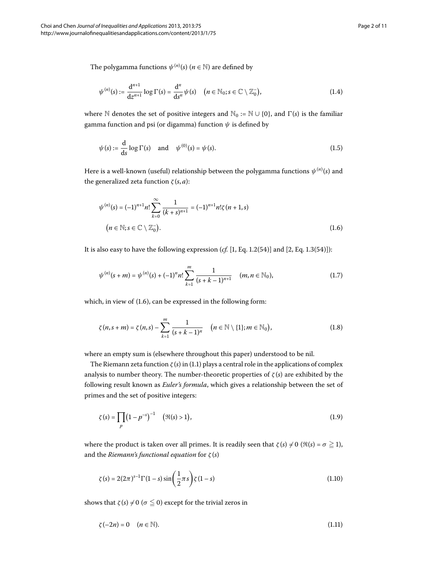The polygamma functions  $\psi^{(n)}(s)$  ( $n \in \mathbb{N}$ ) are defined by

$$
\psi^{(n)}(s) := \frac{d^{n+1}}{dz^{n+1}} \log \Gamma(s) = \frac{d^n}{ds^n} \psi(s) \quad (n \in \mathbb{N}_0; s \in \mathbb{C} \setminus \mathbb{Z}_0^-), \tag{1.4}
$$

<span id="page-1-0"></span>where N denotes the set of positive integers and  $\mathbb{N}_0 := \mathbb{N} \cup \{0\}$ , and  $\Gamma(s)$  is the familiar gamma function and psi (or digamma) function *ψ* is defined by

$$
\psi(s) := \frac{\mathrm{d}}{\mathrm{d}s} \log \Gamma(s) \quad \text{and} \quad \psi^{(0)}(s) = \psi(s). \tag{1.5}
$$

Here is a well-known (useful) relationship between the polygamma functions *ψ*(*n*) (*s*) and the generalized zeta function  $ζ$  (*s*, *a*):

<span id="page-1-2"></span>
$$
\psi^{(n)}(s) = (-1)^{n+1} n! \sum_{k=0}^{\infty} \frac{1}{(k+s)^{n+1}} = (-1)^{n+1} n! \zeta(n+1,s)
$$
  
( $n \in \mathbb{N}; s \in \mathbb{C} \setminus \mathbb{Z}_0^-$ ). (1.6)

It is also easy to have the following expression  $(cf. [1, Eq. 1.2(54)]$  $(cf. [1, Eq. 1.2(54)]$  $(cf. [1, Eq. 1.2(54)]$  and  $[2, Eq. 1.3(54)]$ :

<span id="page-1-3"></span>
$$
\psi^{(n)}(s+m) = \psi^{(n)}(s) + (-1)^n n! \sum_{k=1}^m \frac{1}{(s+k-1)^{n+1}} \quad (m,n \in \mathbb{N}_0),
$$
\n(1.7)

which, in view of  $(1.6)$ , can be expressed in the following form:

$$
\zeta(n,s+m) = \zeta(n,s) - \sum_{k=1}^{m} \frac{1}{(s+k-1)^n} \quad (n \in \mathbb{N} \setminus \{1\}; m \in \mathbb{N}_0), \tag{1.8}
$$

where an empty sum is (elsewhere throughout this paper) understood to be nil.

The Riemann zeta function  $\zeta(s)$  in (1[.](#page-0-1)1) plays a central role in the applications of complex analysis to number theory. The number-theoretic properties of *ζ* (*s*) are exhibited by the following result known as *Euler's formula*, which gives a relationship between the set of primes and the set of positive integers:

<span id="page-1-1"></span>
$$
\zeta(s) = \prod_{p} (1 - p^{-s})^{-1} \quad (\Re(s) > 1), \tag{1.9}
$$

where the product is taken over all primes. It is readily seen that  $\zeta(s) \neq 0$  ( $\Re(s) = \sigma \geqq 1$ ), and the *Riemann's functional equation* for *ζ* (*s*)

$$
\zeta(s) = 2(2\pi)^{s-1} \Gamma(1-s) \sin\left(\frac{1}{2}\pi s\right) \zeta(1-s)
$$
\n(1.10)

shows that  $\zeta(s) \neq 0$  ( $\sigma \leq 0$ ) except for the trivial zeros in

$$
\zeta(-2n) = 0 \quad (n \in \mathbb{N}).\tag{1.11}
$$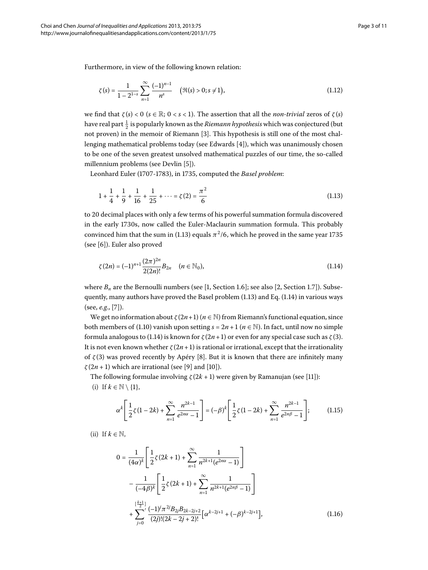Furthermore, in view of the following known relation:

<span id="page-2-0"></span>
$$
\zeta(s) = \frac{1}{1 - 2^{1-s}} \sum_{n=1}^{\infty} \frac{(-1)^{n-1}}{n^s} \quad (\Re(s) > 0; s \neq 1), \tag{1.12}
$$

we find that  $\zeta(s) < 0$  ( $s \in \mathbb{R}$ ; 0 <  $s$  < 1). The assertion that all the *non-trivial* zeros of  $\zeta(s)$ have real part  $\frac{1}{2}$  is popularly known as the *Riemann hypothesis* which was conjectured (but not proven) in the memoir of Riemann [3[\]](#page-9-4). This hypothesis is still one of the most challenging mathematical problems today (see Edwards  $[4]$ ), which was unanimously chosen to be one of the seven greatest unsolved mathematical puzzles of our time, the so-called millennium problems (see Devlin [5]).

Leonhard Euler (1707-1783), in 1735, computed the *Basel problem*:

<span id="page-2-1"></span>
$$
1 + \frac{1}{4} + \frac{1}{9} + \frac{1}{16} + \frac{1}{25} + \dots = \zeta(2) = \frac{\pi^2}{6}
$$
 (1.13)

to decimal places with only a few terms of his powerful summation formula discovered in the early 1730s, now called the Euler-Maclaurin summation formula. This probably convinced him that the sum in (1[.](#page-2-0)13) equals  $\pi^2/6$ , which he proved in the same year 1735  $(see [6])$  $(see [6])$  $(see [6])$ . Euler also proved

$$
\zeta(2n) = (-1)^{n+1} \frac{(2\pi)^{2n}}{2(2n)!} B_{2n} \quad (n \in \mathbb{N}_0),
$$
\n(1.14)

where  $B_n$  are the Bernoulli numbers (see [1[,](#page-9-2) Section 1.6]; see also [\[](#page-9-3)2, Section 1.7]). Subsequently, many authors have proved the Basel problem  $(1.13)$  $(1.13)$  $(1.13)$  and Eq.  $(1.14)$  in various ways (see, *e.g.*, [7[\]](#page-9-8)).

We get no information about  $\zeta(2n+1)$  ( $n \in \mathbb{N}$ ) from Riemann's functional equation, since both members of (1[.](#page-1-1)10) vanish upon setting  $s = 2n + 1$  ( $n \in \mathbb{N}$ ). In fact, until now no simple formula analogous to (1[.](#page-2-1)14) is known for  $\zeta(2n+1)$  or even for any special case such as  $\zeta(3)$ . It is not even known whether  $\zeta(2n+1)$  is rational or irrational, except that the irrationality of  $\zeta(3)$  was proved recently by Apéry [\[](#page-9-9)8]. But it is known that there are infinitely many  $\zeta(2n+1)$  which are irrational (see [9[\]](#page-9-11) and [10]).

The following formulae involving  $\zeta(2k+1)$  were given by Ramanujan (see [11]):

<span id="page-2-2"></span>(i) If  $k \in \mathbb{N} \setminus \{1\}$ ,

<span id="page-2-3"></span>
$$
\alpha^{k} \left[ \frac{1}{2} \zeta (1 - 2k) + \sum_{n=1}^{\infty} \frac{n^{2k-1}}{e^{2n\alpha} - 1} \right] = (-\beta)^{k} \left[ \frac{1}{2} \zeta (1 - 2k) + \sum_{n=1}^{\infty} \frac{n^{2k-1}}{e^{2n\beta} - 1} \right];
$$
(1.15)

(ii) If  $k \in \mathbb{N}$ ,

$$
0 = \frac{1}{(4\alpha)^k} \left[ \frac{1}{2} \zeta (2k+1) + \sum_{n=1}^{\infty} \frac{1}{n^{2k+1} (e^{2n\alpha} - 1)} \right]
$$
  
- 
$$
\frac{1}{(-4\beta)^k} \left[ \frac{1}{2} \zeta (2k+1) + \sum_{n=1}^{\infty} \frac{1}{n^{2k+1} (e^{2n\beta} - 1)} \right]
$$
  
+ 
$$
\sum_{j=0}^{\left[\frac{k+1}{2}\right]} \frac{(-1)^j \pi^{2j} B_{2j} B_{2k-2j+2}}{(2j)!(2k-2j+2)!} \left[ \alpha^{k-2j+1} + (-\beta)^{k-2j+1} \right],
$$
(1.16)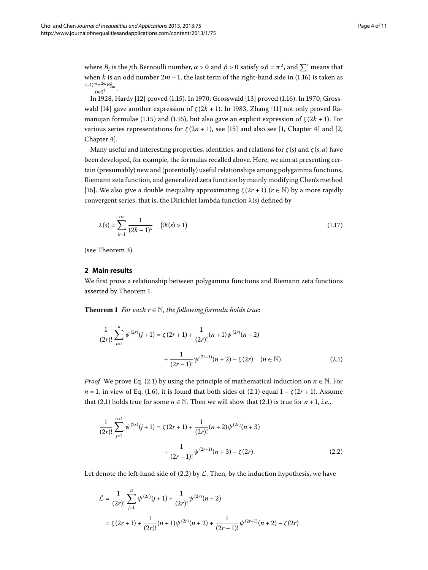where  $B_i$  is the *j*th Bernoulli number,  $\alpha > 0$  and  $\beta > 0$  satisfy  $\alpha \beta = \pi^2$ , and  $\sum'$  means that when *k* is an odd number  $2m - 1$ , the last term of the right-hand side in (1.16) is taken as  $\frac{(-1)^m \pi^{2m} B_{2m}^2}{(m!)^2}$ .

In 1928, Hardy [12[\]](#page-9-13) proved (1[.](#page-2-3)15). In 1970, Grosswald [\[](#page-9-14)13] proved (1.16). In 1970, Gross-wald [14[\]](#page-9-15) gave another expression of  $\zeta(2k + 1)$ . In 1983, Zhang [11] not only proved Ra-manujan formulae (1[.](#page-2-2)15) and (1.16), but also gave an explicit expression of  $\zeta(2k+1)$ . For various series representations for  $\zeta(2n+1)$ , see [\[](#page-9-2)15] and also see [1[,](#page-9-3) Chapter 4] and [2, Chapter 4].

Many useful and interesting properties, identities, and relations for  $\zeta(s)$  and  $\zeta(s, a)$  have been developed, for example, the formulas recalled above. Here, we aim at presenting certain (presumably) new and (potentially) useful relationships among polygamma functions, Riemann zeta function, and generalized zeta function by mainly modifying Chen's method [16[\]](#page-9-17). We also give a double inequality approximating  $\zeta(2r+1)$  ( $r \in \mathbb{N}$ ) by a more rapidly convergent series, that is, the Dirichlet lambda function *λ*(*s*) defined by

$$
\lambda(s) = \sum_{k=1}^{\infty} \frac{1}{(2k-1)^s} \quad (\Re(s) > 1)
$$
 (1.17)

<span id="page-3-0"></span>(see Theorem 3[\)](#page-5-0).

### <span id="page-3-1"></span>**2 Main results**

We first prove a relationship between polygamma functions and Riemann zeta functions asserted by Theorem 1.

**Theorem 1** *For each r*  $\in$  *N, the following formula holds true:* 

$$
\frac{1}{(2r)!} \sum_{j=1}^{n} \psi^{(2r)}(j+1) = \zeta(2r+1) + \frac{1}{(2r)!} (n+1) \psi^{(2r)}(n+2)
$$

$$
+ \frac{1}{(2r-1)!} \psi^{(2r-1)}(n+2) - \zeta(2r) \quad (n \in \mathbb{N}).
$$
 (2.1)

<span id="page-3-2"></span>*Proof* We prove Eq. (2.1) by using the principle of mathematical induction on  $n \in \mathbb{N}$ . For  $n = 1$ , in view of Eq. (1.6), it is found that both sides of (2.1) equal  $1 - \zeta(2r + 1)$ . Assume that (2.1) holds true for some  $n \in \mathbb{N}$ . Then we will show that (2.1) is true for  $n + 1$ , *i.e.*,

$$
\frac{1}{(2r)!} \sum_{j=1}^{n+1} \psi^{(2r)}(j+1) = \zeta(2r+1) + \frac{1}{(2r)!} (n+2) \psi^{(2r)}(n+3) + \frac{1}{(2r-1)!} \psi^{(2r-1)}(n+3) - \zeta(2r).
$$
\n(2.2)

Let denote the left-hand side of  $(2.2)$  by  $\mathcal L$ . Then, by the induction hypothesis, we have

$$
\begin{aligned} \mathcal{L} &= \frac{1}{(2r)!} \sum_{j=1}^n \psi^{(2r)}(j+1) + \frac{1}{(2r)!} \psi^{(2r)}(n+2) \\ &= \zeta(2r+1) + \frac{1}{(2r)!} (n+1) \psi^{(2r)}(n+2) + \frac{1}{(2r-1)!} \psi^{(2r-1)}(n+2) - \zeta(2r) \end{aligned}
$$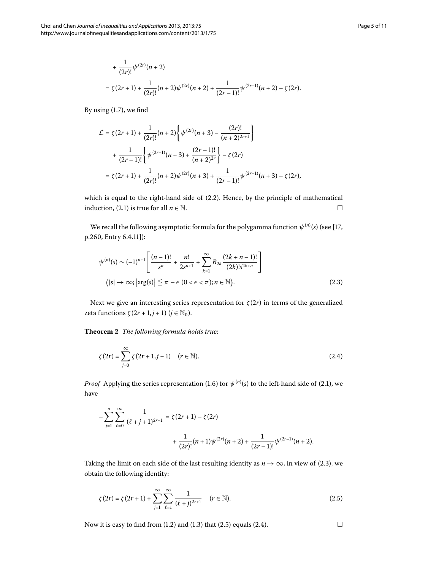By using  $(1.7)$ , we find

$$
\mathcal{L} = \zeta(2r+1) + \frac{1}{(2r)!}(n+2)\left\{\psi^{(2r)}(n+3) - \frac{(2r)!}{(n+2)^{2r+1}}\right\}
$$
  
+ 
$$
\frac{1}{(2r-1)!}\left\{\psi^{(2r-1)}(n+3) + \frac{(2r-1)!}{(n+2)^{2r}}\right\} - \zeta(2r)
$$
  
= 
$$
\zeta(2r+1) + \frac{1}{(2r)!}(n+2)\psi^{(2r)}(n+3) + \frac{1}{(2r-1)!}\psi^{(2r-1)}(n+3) - \zeta(2r),
$$

<span id="page-4-0"></span>which is equal to the right-hand side of  $(2.2)$ . Hence, by the principle of mathematical induction, (2[.](#page-3-1)1) is true for all  $n \in \mathbb{N}$ .

We recall the following asymptotic formula for the polygamma function  $\psi^{(n)}(s)$  (see [17, p.260, Entry 6.4.11]):

<span id="page-4-3"></span><span id="page-4-2"></span>
$$
\psi^{(n)}(s) \sim (-1)^{n+1} \left[ \frac{(n-1)!}{s^n} + \frac{n!}{2s^{n+1}} + \sum_{k=1}^{\infty} B_{2k} \frac{(2k+n-1)!}{(2k)! s^{2k+n}} \right]
$$
  
(|s| \to \infty;  $|\arg(s)| \leq \pi - \epsilon$  (0  $\lt \epsilon \lt \pi$ );  $n \in \mathbb{N}$ ). (2.3)

Next we give an interesting series representation for  $\zeta(2r)$  in terms of the generalized zeta functions  $\zeta(2r+1,j+1)$   $(j \in \mathbb{N}_0)$ .

**Theorem**  *The following formula holds true*:

$$
\zeta(2r) = \sum_{j=0}^{\infty} \zeta(2r+1, j+1) \quad (r \in \mathbb{N}).
$$
 (2.4)

*Proof* Applying the series representation (1[.](#page-3-1)6) for  $\psi^{(n)}(s)$  to the left-hand side of (2.1), we have

$$
-\sum_{j=1}^{n}\sum_{\ell=0}^{\infty}\frac{1}{(\ell+j+1)^{2r+1}}=\zeta(2r+1)-\zeta(2r)
$$

$$
+\frac{1}{(2r)!}(n+1)\psi^{(2r)}(n+2)+\frac{1}{(2r-1)!}\psi^{(2r-1)}(n+2).
$$

Taking the limit on each side of the last resulting identity as  $n \rightarrow \infty$ , in view of (2.3), we obtain the following identity:

$$
\zeta(2r) = \zeta(2r+1) + \sum_{j=1}^{\infty} \sum_{\ell=1}^{\infty} \frac{1}{(\ell+j)^{2r+1}} \quad (r \in \mathbb{N}).
$$
 (2.5)

Now it is easy to find from (1[.](#page-0-3)2) and (1.3) that (2.5) equals (2.4).  $\Box$ 

<span id="page-4-1"></span>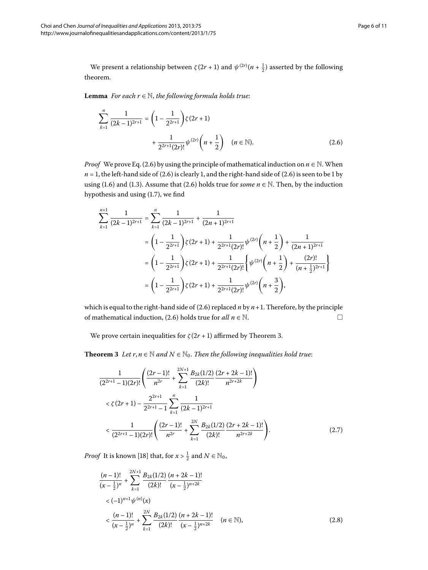<span id="page-5-1"></span>We present a relationship between  $\zeta(2r+1)$  and  $\psi^{(2r)}(n+\frac{1}{2})$  asserted by the following theorem.

**Lemma** *For each*  $r \in \mathbb{N}$ *, the following formula holds true:* 

$$
\sum_{k=1}^{n} \frac{1}{(2k-1)^{2r+1}} = \left(1 - \frac{1}{2^{2r+1}}\right) \zeta(2r+1) + \frac{1}{2^{2r+1}(2r)!} \psi^{(2r)}\left(n + \frac{1}{2}\right) \quad (n \in \mathbb{N}).
$$
\n(2.6)

*Proof* We prove Eq. (2.6) by using the principle of mathematical induction on  $n \in \mathbb{N}$ . When  $n = 1$ , the left-hand side of (2.6) is clearly 1, and the right-hand side of (2.6) is seen to be 1 by using (1[.](#page-0-3)6) and (1.3). Assume that (2.6) holds true for *some*  $n \in \mathbb{N}$ . Then, by the induction hypothesis and using  $(1.7)$ , we find

$$
\sum_{k=1}^{n+1} \frac{1}{(2k-1)^{2r+1}} = \sum_{k=1}^{n} \frac{1}{(2k-1)^{2r+1}} + \frac{1}{(2n+1)^{2r+1}}
$$
  
=  $\left(1 - \frac{1}{2^{2r+1}}\right) \zeta(2r+1) + \frac{1}{2^{2r+1}(2r)!} \psi^{(2r)}\left(n + \frac{1}{2}\right) + \frac{1}{(2n+1)^{2r+1}}$   
=  $\left(1 - \frac{1}{2^{2r+1}}\right) \zeta(2r+1) + \frac{1}{2^{2r+1}(2r)!} \left\{\psi^{(2r)}\left(n + \frac{1}{2}\right) + \frac{(2r)!}{(n + \frac{1}{2})^{2r+1}}\right\}$   
=  $\left(1 - \frac{1}{2^{2r+1}}\right) \zeta(2r+1) + \frac{1}{2^{2r+1}(2r)!} \psi^{(2r)}\left(n + \frac{3}{2}\right),$ 

<span id="page-5-3"></span><span id="page-5-0"></span>which is equal to the right-hand side of  $(2.6)$  replaced  $n$  by  $n+1$ . Therefore, by the principle of mathematical induction, (2[.](#page-5-1)6) holds true for *all*  $n \in \mathbb{N}$ . □

We prove certain inequalities for  $\zeta(2r+1)$  affirmed by Theorem 3[.](#page-5-0)

**Theorem 3** Let  $r, n \in \mathbb{N}$  and  $N \in \mathbb{N}_0$ . Then the following inequalities hold true:

$$
\frac{1}{(2^{2r+1}-1)(2r)!} \left( \frac{(2r-1)!}{n^{2r}} + \sum_{k=1}^{2N+1} \frac{B_{2k}(1/2)}{(2k)!} \frac{(2r+2k-1)!}{n^{2r+2k}} \right)
$$
  

$$
< \zeta(2r+1) - \frac{2^{2r+1}}{2^{2r+1}-1} \sum_{k=1}^{n} \frac{1}{(2k-1)^{2r+1}}
$$
  

$$
< \frac{1}{(2^{2r+1}-1)(2r)!} \left( \frac{(2r-1)!}{n^{2r}} + \sum_{k=1}^{2N} \frac{B_{2k}(1/2)}{(2k)!} \frac{(2r+2k-1)!}{n^{2r+2k}} \right).
$$
 (2.7)

<span id="page-5-2"></span>*Proof* It is known [18[\]](#page-9-19) that, for  $x > \frac{1}{2}$  and  $N \in \mathbb{N}_0$ ,

$$
\frac{(n-1)!}{(x-\frac{1}{2})^n} + \sum_{k=1}^{2N+1} \frac{B_{2k}(1/2)}{(2k)!} \frac{(n+2k-1)!}{(x-\frac{1}{2})^{n+2k}}
$$
  
<  $(-1)^{n+1} \psi^{(n)}(x)$   
 $< \frac{(n-1)!}{(x-\frac{1}{2})^n} + \sum_{k=1}^{2N} \frac{B_{2k}(1/2)}{(2k)!} \frac{(n+2k-1)!}{(x-\frac{1}{2})^{n+2k}} \quad (n \in \mathbb{N}),$  (2.8)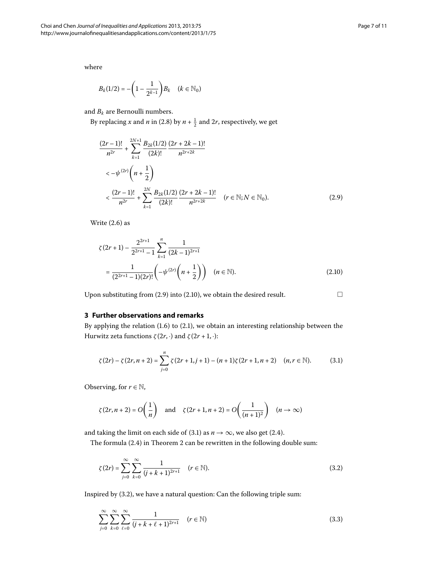<span id="page-6-0"></span>where

$$
B_k(1/2) = -\left(1 - \frac{1}{2^{k-1}}\right)B_k \quad (k \in \mathbb{N}_0)
$$

and  $B_k$  are Bernoulli numbers.

By replacing *x* and *n* in (2.8) by  $n + \frac{1}{2}$  and 2*r*, respectively, we get

$$
\frac{(2r-1)!}{n^{2r}} + \sum_{k=1}^{2N+1} \frac{B_{2k}(1/2)}{(2k)!} \frac{(2r+2k-1)!}{n^{2r+2k}}
$$
  

$$
< -\psi^{(2r)}\left(n+\frac{1}{2}\right)
$$
  

$$
< \frac{(2r-1)!}{n^{2r}} + \sum_{k=1}^{2N} \frac{B_{2k}(1/2)}{(2k)!} \frac{(2r+2k-1)!}{n^{2r+2k}} \quad (r \in \mathbb{N}; N \in \mathbb{N}_{0}).
$$
 (2.9)

<span id="page-6-1"></span>Write  $(2.6)$  $(2.6)$  $(2.6)$  as

<span id="page-6-2"></span>
$$
\zeta(2r+1) - \frac{2^{2r+1}}{2^{2r+1}-1} \sum_{k=1}^{n} \frac{1}{(2k-1)^{2r+1}}
$$
  
= 
$$
\frac{1}{(2^{2r+1}-1)(2r)!} \left( -\psi^{(2r)} \left( n + \frac{1}{2} \right) \right) \quad (n \in \mathbb{N}).
$$
 (2.10)

Upon substituting from (2[.](#page-6-1)9) into (2.10), we obtain the desired result.  $\Box$ 

## **3 Further observations and remarks**

By applying the relation  $(1.6)$  $(1.6)$  $(1.6)$  to  $(2.1)$ , we obtain an interesting relationship between the Hurwitz zeta functions  $\zeta(2r, \cdot)$  and  $\zeta(2r + 1, \cdot)$ :

$$
\zeta(2r) - \zeta(2r, n+2) = \sum_{j=0}^{n} \zeta(2r+1, j+1) - (n+1)\zeta(2r+1, n+2) \quad (n, r \in \mathbb{N}).
$$
 (3.1)

Observing, for  $r \in \mathbb{N}$ ,

<span id="page-6-3"></span>
$$
\zeta(2r, n+2) = O\left(\frac{1}{n}\right) \quad \text{and} \quad \zeta(2r+1, n+2) = O\left(\frac{1}{(n+1)^2}\right) \quad (n \to \infty)
$$

and taking the limit on each side of (3.1) as  $n \to \infty$ , we also get (2.4).

The formula  $(2.4)$  $(2.4)$  $(2.4)$  in Theorem 2 can be rewritten in the following double sum:

$$
\zeta(2r) = \sum_{j=0}^{\infty} \sum_{k=0}^{\infty} \frac{1}{(j+k+1)^{2r+1}} \quad (r \in \mathbb{N}).
$$
\n(3.2)

Inspired by  $(3.2)$  $(3.2)$  $(3.2)$ , we have a natural question: Can the following triple sum:

$$
\sum_{j=0}^{\infty} \sum_{k=0}^{\infty} \sum_{\ell=0}^{\infty} \frac{1}{(j+k+\ell+1)^{2r+1}} \quad (r \in \mathbb{N})
$$
\n(3.3)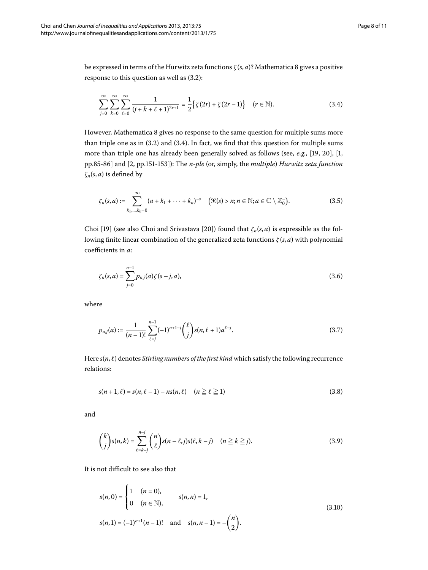be expressed in terms of the Hurwitz zeta functions *ζ* (*s*, *a*)? Mathematica gives a positive response to this question as well as  $(3.2)$ :

<span id="page-7-0"></span>
$$
\sum_{j=0}^{\infty} \sum_{k=0}^{\infty} \sum_{\ell=0}^{\infty} \frac{1}{(j+k+\ell+1)^{2r+1}} = \frac{1}{2} \{ \zeta(2r) + \zeta(2r-1) \} \quad (r \in \mathbb{N}).
$$
 (3.4)

However, Mathematica 8 gives no response to the same question for multiple sums more than triple one as in  $(3.2)$  and  $(3.4)$ . In fact, we find that this question for multiple sums more than triple one has already been generally solved as follows (see, e.g., [\[](#page-10-0)19[,](#page-9-2) 20], [1, pp.85-86] and [2[,](#page-9-3) pp.151-153]): The *n-ple* (or, simply, the *multiple*) *Hurwitz zeta function ζn*(*s*, *a*) is defined by

$$
\zeta_n(s,a) := \sum_{k_1,\ldots,k_n=0}^{\infty} (a+k_1+\cdots+k_n)^{-s} \quad (\Re(s) > n; n \in \mathbb{N}; a \in \mathbb{C} \setminus \mathbb{Z}_0).
$$
 (3.5)

Choi [19] (see also Choi and Srivastava [20]) found that  $\zeta_n(s, a)$  is expressible as the following finite linear combination of the generalized zeta functions *ζ* (*s*, *a*) with polynomial coefficients in *a*:

$$
\zeta_n(s,a) = \sum_{j=0}^{n-1} p_{n,j}(a)\zeta(s-j,a),\tag{3.6}
$$

where

$$
p_{n,j}(a) := \frac{1}{(n-1)!} \sum_{\ell=j}^{n-1} (-1)^{n+1-j} {\ell \choose j} s(n,\ell+1) a^{\ell-j}.
$$
 (3.7)

Here  $s(n, \ell)$  denotes *Stirling numbers of the first kind* which satisfy the following recurrence relations:

$$
s(n+1,\ell) = s(n,\ell-1) - ns(n,\ell) \quad (n \ge \ell \ge 1)
$$
\n(3.8)

and

$$
\binom{k}{j}s(n,k) = \sum_{\ell=k-j}^{n-j} \binom{n}{\ell} s(n-\ell,j)s(\ell,k-j) \quad (n \geq k \geq j).
$$
 (3.9)

It is not difficult to see also that

$$
s(n,0) = \begin{cases} 1 & (n = 0), \\ 0 & (n \in \mathbb{N}), \end{cases} \qquad s(n,n) = 1,
$$
  

$$
s(n,1) = (-1)^{n+1}(n-1)! \quad \text{and} \quad s(n,n-1) = -\binom{n}{2}.
$$
 (3.10)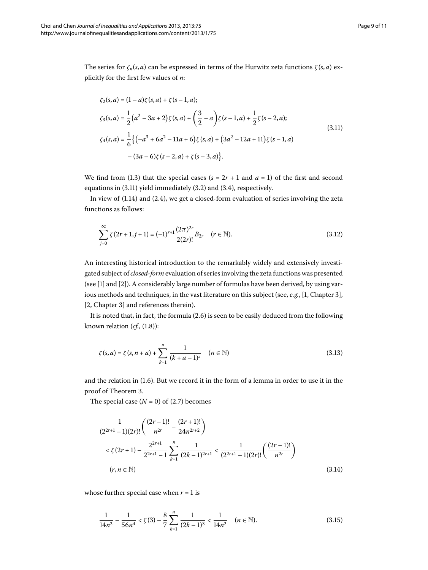The series for  $\zeta_n(s, a)$  can be expressed in terms of the Hurwitz zeta functions  $\zeta(s, a)$  explicitly for the first few values of *n*:

<span id="page-8-0"></span>
$$
\zeta_2(s, a) = (1 - a)\zeta(s, a) + \zeta(s - 1, a);
$$
  
\n
$$
\zeta_3(s, a) = \frac{1}{2}(a^2 - 3a + 2)\zeta(s, a) + (\frac{3}{2} - a)\zeta(s - 1, a) + \frac{1}{2}\zeta(s - 2, a);
$$
  
\n
$$
\zeta_4(s, a) = \frac{1}{6}\{(-a^3 + 6a^2 - 11a + 6)\zeta(s, a) + (3a^2 - 12a + 11)\zeta(s - 1, a)
$$
  
\n
$$
-(3a - 6)\zeta(s - 2, a) + \zeta(s - 3, a)\}.
$$
\n(3.11)

We find from (1[.](#page-0-3)3) that the special cases ( $s = 2r + 1$  and  $a = 1$ ) of the first and second equations in  $(3.11)$  yield immediately  $(3.2)$  and  $(3.4)$ , respectively.

In view of  $(1.14)$  $(1.14)$  $(1.14)$  and  $(2.4)$ , we get a closed-form evaluation of series involving the zeta functions as follows:

$$
\sum_{j=0}^{\infty} \zeta(2r+1,j+1) = (-1)^{r+1} \frac{(2\pi)^{2r}}{2(2r)!} B_{2r} \quad (r \in \mathbb{N}).
$$
\n(3.12)

An interesting historical introduction to the remarkably widely and extensively investigated subject of *closed-form* evaluation of series involving the zeta functions was presented (see [1[\]](#page-9-2) and [\[](#page-9-3)2]). A considerably large number of formulas have been derived, by using various methods and techniques, in the vast literature on this subject (see, e.g., [1, Chapter 3], [2[,](#page-9-3) Chapter 3] and references therein).

It is noted that, in fact, the formula (2[.](#page-5-1)6) is seen to be easily deduced from the following known relation  $(cf.$ ,  $(1.8)$ :

$$
\zeta(s,a) = \zeta(s,n+a) + \sum_{k=1}^{n} \frac{1}{(k+a-1)^s} \quad (n \in \mathbb{N})
$$
\n(3.13)

and the relation in  $(1.6)$ . But we record it in the form of a lemma in order to use it in the proof of Theorem 3[.](#page-5-0)

The special case  $(N = 0)$  of  $(2.7)$  becomes

$$
\frac{1}{(2^{2r+1}-1)(2r)!} \left( \frac{(2r-1)!}{n^{2r}} - \frac{(2r+1)!}{24n^{2r+2}} \right)
$$
  

$$
< \zeta(2r+1) - \frac{2^{2r+1}}{2^{2r+1}-1} \sum_{k=1}^{n} \frac{1}{(2k-1)^{2r+1}} < \frac{1}{(2^{2r+1}-1)(2r)!} \left( \frac{(2r-1)!}{n^{2r}} \right)
$$
  

$$
(r, n \in \mathbb{N})
$$
 (3.14)

whose further special case when  $r = 1$  is

$$
\frac{1}{14n^2} - \frac{1}{56n^4} < \zeta(3) - \frac{8}{7} \sum_{k=1}^n \frac{1}{(2k-1)^3} < \frac{1}{14n^2} \quad (n \in \mathbb{N}).\tag{3.15}
$$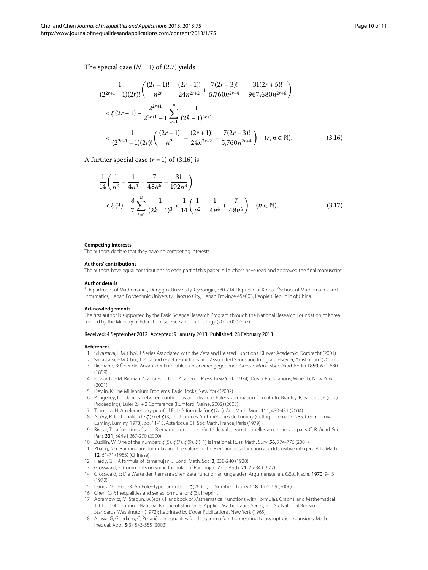<span id="page-9-20"></span>
$$
\frac{1}{(2^{2r+1}-1)(2r)!} \left( \frac{(2r-1)!}{n^{2r}} - \frac{(2r+1)!}{24n^{2r+2}} + \frac{7(2r+3)!}{5,760n^{2r+4}} - \frac{31(2r+5)!}{967,680n^{2r+6}} \right)
$$
  

$$
< \zeta(2r+1) - \frac{2^{2r+1}}{2^{2r+1}-1} \sum_{k=1}^{n} \frac{1}{(2k-1)^{2r+1}}
$$
  

$$
< \frac{1}{(2^{2r+1}-1)(2r)!} \left( \frac{(2r-1)!}{n^{2r}} - \frac{(2r+1)!}{24n^{2r+2}} + \frac{7(2r+3)!}{5,760n^{2r+4}} \right) (r, n \in \mathbb{N}).
$$
 (3.16)

A further special case  $(r = 1)$  of  $(3.16)$  $(3.16)$  $(3.16)$  is

<span id="page-9-1"></span>
$$
\frac{1}{14} \left( \frac{1}{n^2} - \frac{1}{4n^4} + \frac{7}{48n^6} - \frac{31}{192n^8} \right)
$$
  
<  $\zeta(3) - \frac{8}{7} \sum_{k=1}^{n} \frac{1}{(2k-1)^3} < \frac{1}{14} \left( \frac{1}{n^2} - \frac{1}{4n^4} + \frac{7}{48n^6} \right)$   $(n \in \mathbb{N}).$  (3.17)

#### <span id="page-9-0"></span>**Competing interests**

The authors declare that they have no competing interests.

#### **Authors' contributions**

The authors have equal contributions to each part of this paper. All authors have read and approved the final manuscript.

#### **Author details**

<span id="page-9-3"></span><span id="page-9-2"></span><sup>1</sup> Department of Mathematics, Dongguk University, Gyeongju, 780-714, Republic of Korea. <sup>2</sup> School of Mathematics and Informatics, Henan Polytechnic University, Jiaozuo City, Henan Province 454003, People's Republic of China.

#### <span id="page-9-4"></span>**Acknowledgements**

<span id="page-9-5"></span>The first author is supported by the Basic Science Research Program through the National Research Foundation of Korea funded by the Ministry of Education, Science and Technology (2012-0002957).

#### <span id="page-9-7"></span><span id="page-9-6"></span>Received: 4 September 2012 Accepted: 9 January 2013 Published: 28 February 2013

#### <span id="page-9-9"></span><span id="page-9-8"></span>**References**

- 1. Srivastava, HM, Choi, J: Series Associated with the Zeta and Related Functions. Kluwer Academic, Dordrecht (2001)
- 2. Srivastava, HM, Choi, J: Zeta and q-Zeta Functions and Associated Series and Integrals. Elsevier, Amsterdam (2012)
- <span id="page-9-10"></span>3. Riemann, B: Über die Anzahl der Primzahlen unter einer gegebenen Grösse. Monatsber. Akad. Berlin 1859, 671-680 (1859)
- <span id="page-9-12"></span><span id="page-9-11"></span>4. Edwards, HM: Riemann's Zeta Function. Academic Press, New York (1974); Dover Publications, Mineola, New York (2001)
- 5. Devlin, K: The Millennium Problems. Basic Books, New York (2002)
- <span id="page-9-14"></span><span id="page-9-13"></span>6. Pengelley, DJ: Dances between continuous and discrete: Euler's summation formula. In: Bradley, R, Sandifer, E (eds.) Proceedings, Euler 2k + 2 Conference (Rumford, Maine, 2002) (2003)
- <span id="page-9-15"></span>7. Tsumura, H: An elementary proof of Euler's formula for *ζ* (2m). Am. Math. Mon. 111, 430-431 (2004)
- 8. Apéry, R: Irrationalité de *ζ* (2) et *ζ* (3). In: Journées Arithmétiques de Luminy (Colloq. Internat. CNRS, Centre Univ. Luminy, Luminy, 1978), pp. 11-13, Astérisque 61. Soc. Math. France, Paris (1979)
- <span id="page-9-17"></span><span id="page-9-16"></span>9. Rivoal, T: La fonction zêta de Riemann prend une infinité de valeurs irrationnelles aux entiers impairs. C. R. Acad. Sci. Paris 331, Série I 267-270 (2000)
- <span id="page-9-18"></span>10. Zudilin, W: One of the numbers *ζ* (5), *ζ* (7), *ζ* (9), *ζ* (11) is irrational. Russ. Math. Surv. 56, 774-776 (2001)
- <span id="page-9-19"></span>11. Zhang, N-Y: Ramanujan's formulas and the values of the Riemann zeta function at odd positive integers. Adv. Math. 12, 61-71 (1983) (Chinese)
- 12. Hardy, GH: A formula of Ramanujan. J. Lond. Math. Soc. 3, 238-240 (1928)
- 13. Grosswald, E: Comments on some formulae of Ramnujan. Acta Arith. 21, 25-34 (1972)
- 14. Grosswald, E: Die Werte der Riemannschen Zeta Function an ungeraden Argumenstellen. Gött. Nachr. 1970, 9-13 (1970)
- 15. Dancs, MJ, He, T-X: An Euler-type formula for *ζ* (2k + 1). J. Number Theory 118, 192-199 (2006)
- 16. Chen, C-P: Inequalities and series formula for *ζ* (3). Preprint
- 17. Abramowitz, M, Stegun, IA (eds.): Handbook of Mathematical Functions with Formulas, Graphs, and Mathematical Tables, 10th printing, National Bureau of Standards, Applied Mathematics Series, vol. 55. National Bureau of Standards, Washington (1972); Reprinted by Dover Publications, New York (1965)
- 18. Allasia, G, Giordano, C, Pećarić, J: Inequalities for the gamma function relating to asymptotic expansions. Math. Inequal. Appl. 5(3), 543-555 (2002)